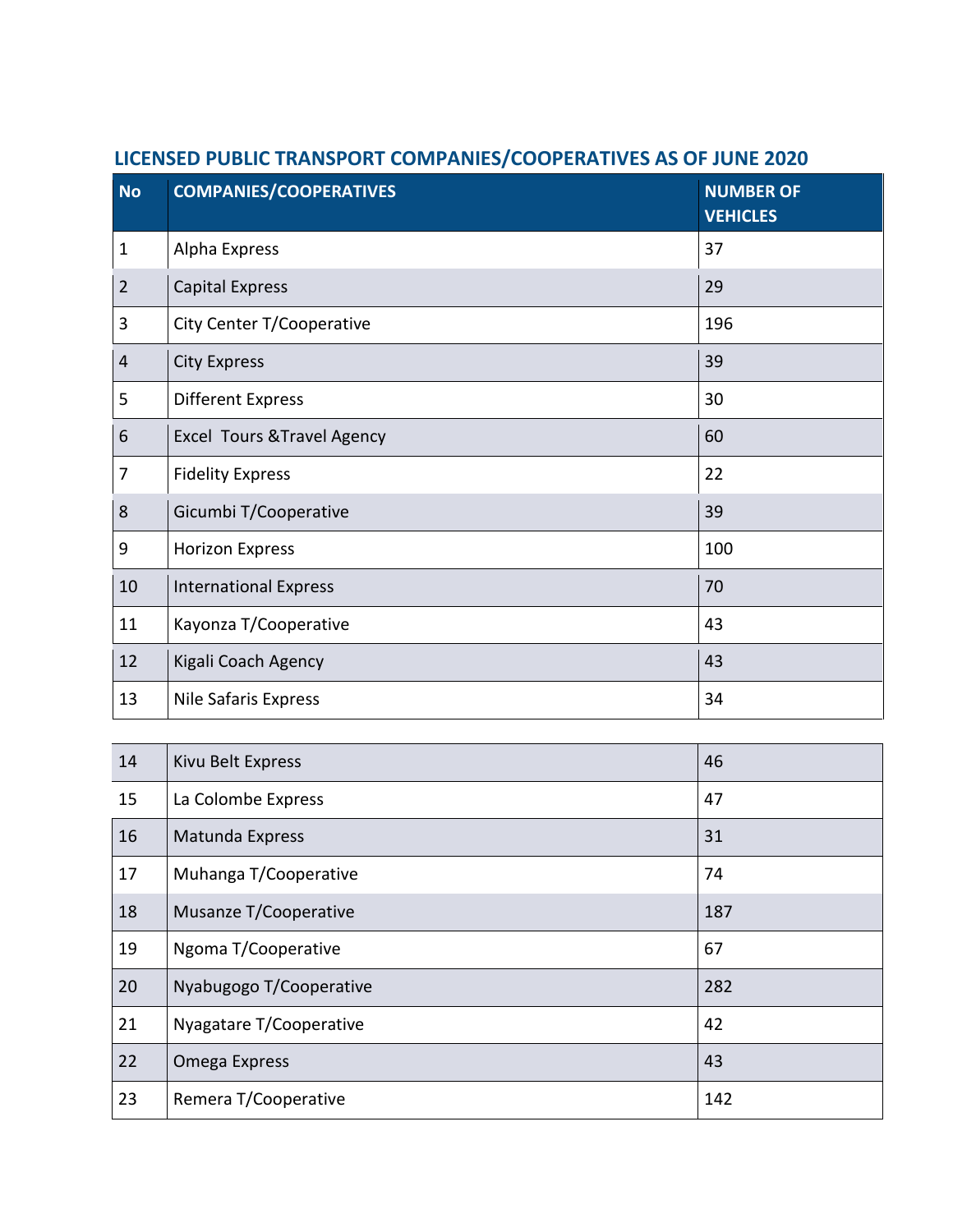| <b>No</b>      | <b>COMPANIES/COOPERATIVES</b>          | <b>NUMBER OF</b><br><b>VEHICLES</b> |
|----------------|----------------------------------------|-------------------------------------|
| $\mathbf{1}$   | Alpha Express                          | 37                                  |
| $\overline{2}$ | <b>Capital Express</b>                 | 29                                  |
| 3              | City Center T/Cooperative              | 196                                 |
| $\overline{4}$ | <b>City Express</b>                    | 39                                  |
| 5              | <b>Different Express</b>               | 30                                  |
| 6              | <b>Excel Tours &amp; Travel Agency</b> | 60                                  |
| 7              | <b>Fidelity Express</b>                | 22                                  |
| 8              | Gicumbi T/Cooperative                  | 39                                  |
| 9              | <b>Horizon Express</b>                 | 100                                 |
| 10             | <b>International Express</b>           | 70                                  |
| 11             | Kayonza T/Cooperative                  | 43                                  |
| 12             | Kigali Coach Agency                    | 43                                  |
| 13             | Nile Safaris Express                   | 34                                  |

## **LICENSED PUBLIC TRANSPORT COMPANIES/COOPERATIVES AS OF JUNE 2020**

| 14 | Kivu Belt Express       | 46  |
|----|-------------------------|-----|
| 15 | La Colombe Express      | 47  |
| 16 | Matunda Express         | 31  |
| 17 | Muhanga T/Cooperative   | 74  |
| 18 | Musanze T/Cooperative   | 187 |
| 19 | Ngoma T/Cooperative     | 67  |
| 20 | Nyabugogo T/Cooperative | 282 |
| 21 | Nyagatare T/Cooperative | 42  |
| 22 | Omega Express           | 43  |
| 23 | Remera T/Cooperative    | 142 |